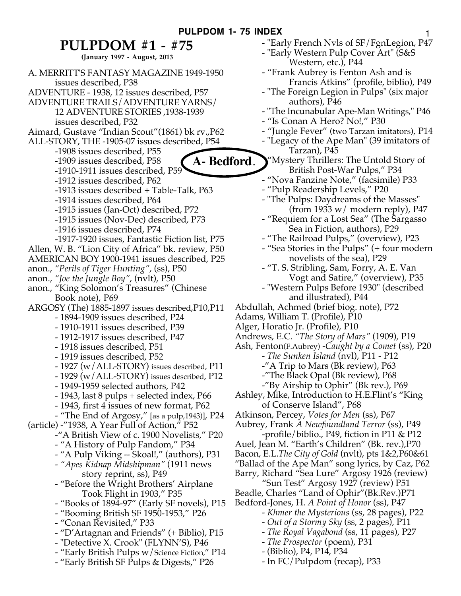## **PULPDOM #1 - #75**

**(January 1997 - August, 2013**

A. MERRITT'S FANTASY MAGAZINE 1949-1950 issues described, P38 ADVENTURE - 1938, 12 issues described, P57 ADVENTURE TRAILS/ADVENTURE YARNS/ 12 ADVENTURE STORIES ,1938-1939 issues described, P32 Aimard, Gustave "Indian Scout"(1861) bk rv.,P62 ALL-STORY, THE -1905-07 issues described, P54 -1908 issues described, P55 -1909 issues described, P58 -1910-1911 issues described, P59 -1912 issues described, P62 -1913 issues described + Table-Talk, P63 -1914 issues described, P64 -1915 issues (Jan-Oct) described, P72 -1915 issues (Nov-Dec) described, P73 -1916 issues described, P74 -1917-1920 issues, Fantastic Fiction list, P75 Allen, W. B. "Lion City of Africa" bk. review, P50 AMERICAN BOY 1900-1941 issues described, P25 anon., *"Perils of Tiger Hunting"*, (ss), P50 anon., *"Joe the Jungle Boy"*, (nvlt), P50 anon., "King Solomon's Treasures" (Chinese Book note), P69 ARGOSY (The) 1885-1897 issues described,P10,P11 - 1894-1909 issues described, P24 - 1910-1911 issues described, P39 - 1912-1917 issues described, P47 - 1918 issues described, P51 - 1919 issues described, P52 - 1927 (w/ALL-STORY) issues described, P11 - 1929 (w/ALL-STORY) issues described, P12 - 1949-1959 selected authors, P42 - 1943, last 8 pulps + selected index, P66 - 1943, first 4 issues of new format, P62 - "The End of Argosy," [as a pulp,1943)], P24 (article) -"1938, A Year Full of Action," P52 -"A British View of c. 1900 Novelists," P20 - "A History of Pulp Fandom," P34 - "A Pulp Viking -- Skoal!," (authors), P31 - *"Apes Kidnap Midshipman"* (1911 news story reprint, ss), P49 - "Before the Wright Brothers' Airplane Took Flight in 1903," P35 - "Books of 1894-97" (Early SF novels), P15 - "Booming British SF 1950-1953," P26 - "Conan Revisited," P33 - "D'Artagnan and Friends" (+ Biblio), P15 - "Detective X. Crook" (FLYNN'S), P46 - "Early British Pulps w/Science Fiction," P14 - "Early British SF Pulps & Digests," P26 **A- Bedford**.

- "Early French Nvls of SF/FgnLegion, P47 - "Early Western Pulp Cover Art" (S&S Western, etc.), P44 - "Frank Aubrey is Fenton Ash and is Francis Atkins" (profile, biblio), P49 - "The Foreign Legion in Pulps" (six major authors), P46 - "The Incunabular Ape-Man Writings," P46 - "Is Conan A Hero? No!," P30 - "Jungle Fever" (two Tarzan imitators), P14 - "Legacy of the Ape Man" (39 imitators of Tarzan), P45 "Mystery Thrillers: The Untold Story of British Post-War Pulps," P34 - "Nova Fanzine Note," (facsimile) P33 - "Pulp Readership Levels," P20 - "The Pulps: Daydreams of the Masses" (from 1933  $w/$  modern reply), P47 - "Requiem for a Lost Sea" (The Sargasso Sea in Fiction, authors), P29 - "The Railroad Pulps," (overview), P23 - "Sea Stories in the Pulps" (+ four modern novelists of the sea), P29 - "T. S. Stribling, Sam, Forry, A. E. Van Vogt and Satire," (overview), P35 - "Western Pulps Before 1930" (described and illustrated), P44 Abdullah, Achmed (brief biog. note), P72 Adams, William T. (Profile), P10 Alger, Horatio Jr. (Profile), P10 Andrews, E.C. *"The Story of Mars"* (1909), P19 Ash, Fenton(F.Aubrey) *-Caught by a Comet* (ss), P20 *- The Sunken Island* (nvl), P11 - P12 -"A Trip to Mars (Bk review), P63 -"The Black Opal (Bk review), P68 -"By Airship to Ophir" (Bk rev.), P69 Ashley, Mike, Introduction to H.E.Flint's "King of Conserve Island", P68 Atkinson, Percey, *Votes for Men* (ss), P67 Aubrey, Frank *A Newfoundland Terror* (ss), P49 -profile/biblio., P49, fiction in P11 & P12 Auel, Jean M. "Earth's Children" (Bk. rev.),P70 Bacon, E.L.*The City of Gold* (nvlt), pts 1&2,P60&61 "Ballad of the Ape Man" song lyrics, by Caz, P62 Barry, Richard "Sea Lure" Argosy 1926 (review) "Sun Test" Argosy 1927 (review) P51 Beadle, Charles "Land of Ophir"(Bk.Rev.)P71 Bedford-Jones, H. *A Point of Honor* (ss), P47 - *Khmer the Mysterious* (ss, 28 pages), P22 - *Out of a Stormy Sky* (ss, 2 pages), P11 - *The Royal Vagabond* (ss, 11 pages), P27 - *The Prospector* (poem), P31

- (Biblio), P4, P14, P34
- In FC/Pulpdom (recap), P33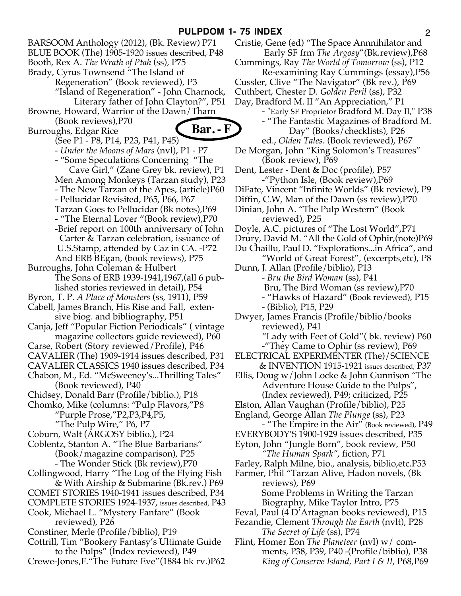BARSOOM Anthology (2012), (Bk. Review) P71 BLUE BOOK (The) 1905-1920 issues described, P48 Booth, Rex A. *The Wrath of Ptah* (ss), P75 Brady, Cyrus Townsend "The Island of Regeneration" (Book reviewed), P3 "Island of Regeneration" - John Charnock, Literary father of John Clayton?", P51 Browne, Howard, Warrior of the Dawn/Tharn (Book reviews),P70 Burroughs, Edgar Rice (See P1 - P8, P14, P23, P41, P45) - *Under the Moons of Mars* (nvl), P1 - P7 - "Some Speculations Concerning "The Cave Girl," (Zane Grey bk. review), P1 Men Among Monkeys (Tarzan study), P23 - The New Tarzan of the Apes, (article)P60 - Pellucidar Revisited, P65, P66, P67 Tarzan Goes to Pellucidar (Bk notes),P69 - "The Eternal Lover "(Book review),P70 -Brief report on 100th anniversary of John Carter & Tarzan celebration, issuance of U.S.Stamp, attended by Caz in CA. -P72 And ERB BEgan, (book reviews), P75 Burroughs, John Coleman & Hulbert The Sons of ERB 1939-1941,1967,(all 6 published stories reviewed in detail), P54 Byron, T. P. *A Place of Monsters* (ss, 1911), P59 Cabell, James Branch, His Rise and Fall, extensive biog. and bibliography, P51 Canja, Jeff "Popular Fiction Periodicals" ( vintage magazine collectors guide reviewed), P60 Carse, Robert (Story reviewed/Profile), P46 CAVALIER (The) 1909-1914 issues described, P31 CAVALIER CLASSICS 1940 issues described, P34 Chabon, M., Ed. "McSweeney's...Thrilling Tales" (Book reviewed), P40 Chidsey, Donald Barr (Profile/biblio.), P18 Chomko, Mike (columns: "Pulp Flavors,"P8 "Purple Prose,"P2,P3,P4,P5, "The Pulp Wire," P6, P7 Coburn, Walt (ARGOSY biblio.), P24 Coblentz, Stanton A. "The Blue Barbarians" (Book/magazine comparison), P25 - The Wonder Stick (Bk review),P70 Collingwood, Harry "The Log of the Flying Fish & With Airship & Submarine (Bk.rev.) P69 COMET STORIES 1940-1941 issues described, P34 COMPLETE STORIES 1924-1937, issues described, P43 Cook, Michael L. "Mystery Fanfare" (Book reviewed), P26 Constiner, Merle (Profile/biblio), P19 Cottrill, Tim "Bookery Fantasy's Ultimate Guide to the Pulps" (Index reviewed), P49 Crewe-Jones,F."The Future Eve"(1884 bk rv.)P62 **Bar. - F**

Cristie, Gene (ed) "The Space Annnihilator and Early SF frm *The Argosy*"(Bk.review),P68 Cummings, Ray *The World of Tomorrow* (ss), P12 Re-examining Ray Cummings (essay),P56 Cussler, Clive "The Navigator" (Bk rev.), P69 Cuthbert, Chester D. *Golden Peril* (ss), P32 Day, Bradford M. II "An Appreciation," P1 - "Early SF Proprietor Bradford M. Day II," P38 - "The Fantastic Magazines of Bradford M. Day" (Books/checklists), P26 ed., *Olden Tales*. (Book reviewed), P67 De Morgan, John "King Solomon's Treasures" (Book review), P69 Dent, Lester - Dent & Doc (profile), P57 -"Python Isle, (Book review),P69 DiFate, Vincent "Infinite Worlds" (Bk review), P9 Diffin, C.W, Man of the Dawn (ss review),P70 Dinian, John A. "The Pulp Western" (Book reviewed), P25 Doyle, A.C. pictures of "The Lost World",P71 Drury, David M. "All the Gold of Ophir,(note)P69 Du Chaillu, Paul D. "Explorations...in Africa", and "World of Great Forest", (excerpts,etc), P8 Dunn, J. Allan (Profile/biblio), P13 *- Bru the Bird Woman* (ss), P41 Bru, The Bird Woman (ss review),P70 - "Hawks of Hazard" (Book reviewed), P15 - (Biblio), P15, P29 Dwyer, James Francis (Profile/biblio/books reviewed), P41 "Lady with Feet of Gold"( bk. review) P60 -"They Came to Ophir (ss review), P69 ELECTRICAL EXPERIMENTER (The)/SCIENCE & INVENTION 1915-1921 issues described, P37 Ellis, Doug w/John Locke & John Gunnison "The Adventure House Guide to the Pulps", (Index reviewed), P49; criticized, P25 Elston, Allan Vaughan (Profile/biblio), P25 England, George Allan *The Plunge* (ss), P23 - "The Empire in the Air" (Book reviewed), P49 EVERYBODY'S 1900-1929 issues described, P35 Eyton, John "Jungle Born", book review, P50 *"The Human Spark"*, fiction, P71 Farley, Ralph Milne, bio., analysis, biblio,etc.P53 Farmer, Phil "Tarzan Alive, Hadon novels, (Bk reviews), P69 Some Problems in Writing the Tarzan Biography, Mike Taylor Intro, P75 Feval, Paul (4 D'Artagnan books reviewed), P15 Fezandie, Clement *Through the Earth* (nvlt), P28 *The Secret of Life* (ss), P74

Flint, Homer Eon *The Planeteer* (nvl) w/ comments, P38, P39, P40 -(Profile/biblio), P38 *King of Conserve Island, Part I & II*, P68,P69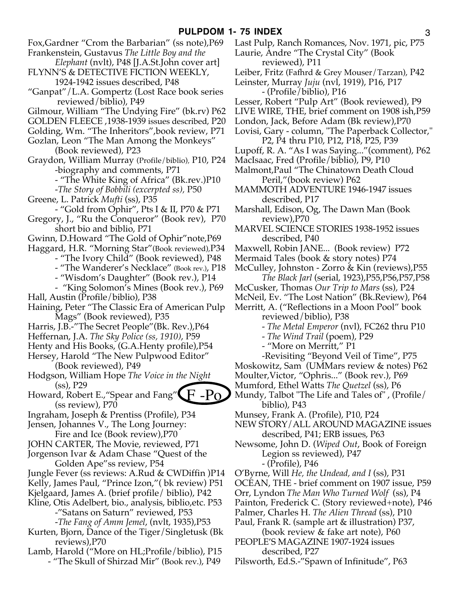- Fox,Gardner "Crom the Barbarian" (ss note),P69
- Frankenstein, Gustavus *The Little Boy and the*
- *Elephant* (nvlt), P48 [J.A.St.John cover art] FLYNN'S & DETECTIVE FICTION WEEKLY,
- 1924-1942 issues described, P48 "Ganpat"/L.A. Gompertz (Lost Race book series
- reviewed/biblio), P49
- Gilmour, William "The Undying Fire" (bk.rv) P62
- GOLDEN FLEECE ,1938-1939 issues described, P20
- Golding, Wm. "The Inheritors",book review, P71
- Gozlan, Leon "The Man Among the Monkeys" (Book reviewed), P23
- Graydon, William Murray (Profile/biblio), P10, P24 -biography and comments, P71
	- "The White King of Africa" (Bk.rev.)P10
	- -*The Story of Bobbili (excerpted ss),* P50
- Greene, L. Patrick *Mufti* (ss), P35
- "Gold from Ophir", Pts I & II, P70 & P71
- Gregory, J., "Ru the Conqueror" (Book rev), P70 short bio and biblio, P71
- Gwinn, D.Howard "The Gold of Ophir"note,P69
- Haggard, H.R. "Morning Star"(Book reviewed),P34
	- "The Ivory Child" (Book reviewed), P48
		- "The Wanderer's Necklace" (Book rev.), P18
			- "Wisdom's Daughter" (Book rev.), P14
- "King Solomon's Mines (Book rev.), P69 Hall, Austin (Profile/biblio), P38
- Haining, Peter "The Classic Era of American Pulp Mags" (Book reviewed), P35
- Harris, J.B.-"The Secret People"(Bk. Rev.),P64
- Heffernan, J.A. *The Sky Police (ss, 1910)*, P59
- Henty and His Books, (G.A.Henty profile),P54
- Hersey, Harold "The New Pulpwood Editor" (Book reviewed), P49
- Hodgson, William Hope *The Voice in the Night* (ss), P29
- Howard, Robert E.,"Spear and Fang" (ss review), P70  $\rm{F-Po}$
- Ingraham, Joseph & Prentiss (Profile), P34
- Jensen, Johannes V., The Long Journey:
- Fire and Ice (Book review),P70
- JOHN CARTER, The Movie, reviewed, P71
- Jorgenson Ivar & Adam Chase "Quest of the Golden Ape"ss review, P54
- Jungle Fever (ss reviews: A.Rud & CWDiffin )P14
- Kelly, James Paul, "Prince Izon,"( bk review) P51
- Kjelgaard, James A. (brief profile/ biblio), P42
- Kline, Otis Adelbert, bio., analysis, biblio,etc. P53 -"Satans on Saturn" reviewed, P53
	- -*The Fang of Amm Jemel*, (nvlt, 1935),P53
- Kurten, Bjorn, Dance of the Tiger/Singletusk (Bk reviews),P70
- Lamb, Harold ("More on HL;Profile/biblio), P15 - "The Skull of Shirzad Mir" (Book rev.), P49
- Last Pulp, Ranch Romances, Nov. 1971, pic, P75 Laurie, Andre "The Crystal City" (Book reviewed), P11
- Leiber, Fritz (Fafhrd & Grey Mouser/Tarzan), P42
- Leinster, Murray *Juju* (nvl, 1919), P16, P17 - (Profile/biblio), P16
- Lesser, Robert "Pulp Art" (Book reviewed), P9
- LIVE WIRE, THE, brief comment on 1908 ish,P59
- London, Jack, Before Adam (Bk review),P70
- Lovisi, Gary column, "The Paperback Collector," P2, P4 thru P10, P12, P18, P25, P39
- Lupoff, R. A. "As I was Saying..."(comment), P62
- MacIsaac, Fred (Profile/biblio), P9, P10
- Malmont,Paul "The Chinatown Death Cloud Peril,"(book review) P62
- MAMMOTH ADVENTURE 1946-1947 issues described, P17
- Marshall, Edison, Og, The Dawn Man (Book review),P70
- MARVEL SCIENCE STORIES 1938-1952 issues described, P40
- Maxwell, Robin JANE... (Book review) P72
- Mermaid Tales (book & story notes) P74
- McCulley, Johnston Zorro & Kin (reviews),P55 *The Black Jarl* (serial, 1923),P55,P56,P57,P58
- McCusker, Thomas *Our Trip to Mars* (ss), P24
- McNeil, Ev. "The Lost Nation" (Bk.Review), P64
- Merritt, A. ("Reflections in a Moon Pool" book
	- reviewed/biblio), P38
	- *The Metal Emperor* (nvl), FC262 thru P10
	- *The Wind Trail* (poem), P29
	- "More on Merritt," P1
	- -Revisiting "Beyond Veil of Time", P75
- Moskowitz, Sam (UMMars review & notes) P62
- Moulter,Victor, "Ophris..." (Book rev.), P69
- Mumford, Ethel Watts *The Quetzel* (ss), P6 Mundy, Talbot "The Life and Tales of" , (Profile/
- biblio), P43
- Munsey, Frank A. (Profile), P10, P24
- NEW STORY/ALL AROUND MAGAZINE issues described, P41; ERB issues, P63
- Newsome, John D. (*Wiped Out*, Book of Foreign Legion ss reviewed), P47 - (Profile), P46
- O'Byrne, Will *He, the Undead, and I* (ss), P31
- OCEAN, THE brief comment on 1907 issue, P59
- Orr, Lyndon *The Man Who Turned Wolf* (ss), P4
- Painton, Frederick C. (Story reviewed+note), P46
- Palmer, Charles H. *The Alien Thread* (ss), P10
- Paul, Frank R. (sample art & illustration) P37, (book review & fake art note), P60
- PEOPLE'S MAGAZINE 1907-1924 issues described, P27
- Pilsworth, Ed.S.-"Spawn of Infinitude", P63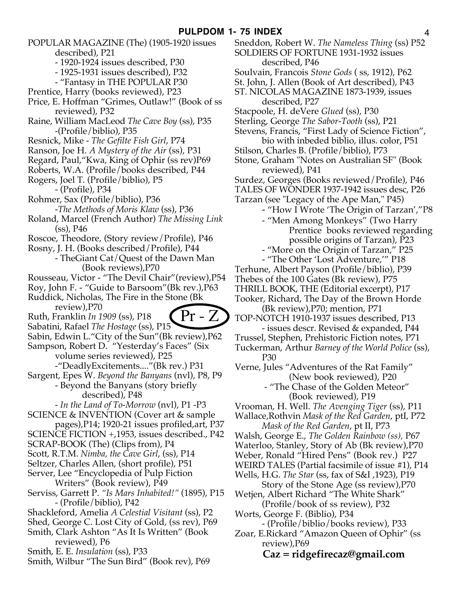POPULAR MAGAZINE (The) (1905-1920 issues

described), P21

- 1920-1924 issues described, P30
- 1925-1931 issues described), P32
- "Fantasy in THE POPULAR P30
- Prentice, Harry (books reviewed), P23
- Price, E. Hoffman "Grimes, Outlaw!" (Book of ss reviewed), P32
- Raine, William MacLeod *The Cave Boy* (ss), P35 -(Profile/biblio), P35
- Resnick, Mike *The Gefilte Fish Girl*, P74
- Ranson, Joe H. *A Mystery of the Air* (ss), P31
- Regard, Paul,"Kwa, King of Ophir (ss rev)P69
- Roberts, W.A. (Profile/books described, P44
- Rogers, Joel T. (Profile/biblio), P5
	- (Profile), P34
- Rohmer, Sax (Profile/biblio), P36
- -*The Methods of Moris Klaw* (ss), P36
- Roland, Marcel (French Author) *The Missing Link* (ss), P46
- Roscoe, Theodore, (Story review/Profile), P46
- Rosny, J. H. (Books described/Profile), P44
- TheGiant Cat/Quest of the Dawn Man (Book reviews),P70
- Rousseau, Victor "The Devil Chair"(review),P54

Roy, John F. - "Guide to Barsoom"(Bk rev.),P63 Ruddick, Nicholas, The Fire in the Stone (Bk

review),P70

Ruth, Franklin *In 1909* (ss), P18



- Sabatini, Rafael *The Hostage* (ss), P15 Sabin, Edwin L."City of the Sun"(Bk review),P62
- Sampson, Robert D. "Yesterday's Faces" (Six
	- volume series reviewed), P25 -"DeadlyExcitements...."(Bk rev.) P31
- Sargent, Epes W. *Beyond the Banyans* (nvl), P8, P9
	- Beyond the Banyans (story briefly described), P48
- *In the Land of To-Morrow* (nvl), P1 -P3
- SCIENCE & INVENTION (Cover art & sample
- pages),P14; 1920-21 issues profiled,art, P37
- SCIENCE FICTION +,1953, issues described., P42
- SCRAP-BOOK (The) (Clips from), P4
- Scott, R.T.M. *Nimba, the Cave Girl*, (ss), P14
- Seltzer, Charles Allen, (short profile), P51
- Server, Lee "Encyclopedia of Pulp Fiction Writers" (Book review), P49
- Serviss, Garrett P. *"Is Mars Inhabited!"* (1895), P15 - (Profile/biblio), P42
- Shackleford, Amelia *A Celestial Visitant* (ss), P2
- Shed, George C. Lost City of Gold, (ss rev), P69
- Smith, Clark Ashton "As It Is Written" (Book reviewed), P6
- Smith, E. E. *Insulation* (ss), P33
- Smith, Wilbur "The Sun Bird" (Book rev), P69
- Sneddon, Robert W. *The Nameless Thing* (ss) P52 SOLDIERS OF FORTUNE 1931-1932 issues described, P46
- Soulvain, Francois *Stone Gods* ( ss, 1912), P62
- St. John, J. Allen (Book of Art described), P43
- ST. NICOLAS MAGAZINE 1873-1939, issues described, P27
- Stacpoole, H. deVere *Glued* (ss), P30
- Sterling, George *The Sabor-Tooth* (ss), P21
- Stevens, Francis, "First Lady of Science Fiction", bio with inbeded biblio, illus. color, P51
- Stilson, Charles B. (Profile/biblio), P73
- Stone, Graham "Notes on Australian SF" (Book reviewed), P41
- Surdez, Georges (Books reviewed/Profile), P46
- TALES OF WONDER 1937-1942 issues desc, P26
- Tarzan (see "Legacy of the Ape Man," P45)
	- "How I Wrote 'The Origin of Tarzan',"P8
		- "Men Among Monkeys" (Two Harry Prentice books reviewed regarding possible origins of Tarzan), P23
		- "More on the Origin of Tarzan," P25
	- "The Other 'Lost Adventure,'" P18
- Terhune, Albert Payson (Profile/biblio), P39
- Thebes of the 100 Gates (Bk review), P75
- THRILL BOOK, THE (Editorial excerpt), P17
- Tooker, Richard, The Day of the Brown Horde (Bk review),P70; mention, P71
- TOP-NOTCH 1910-1937 issues described, P13
- issues descr. Revised & expanded, P44
- Trussel, Stephen, Prehistoric Fiction notes, P71
- Tuckerman, Arthur *Barney of the World Police* (ss), P30

Verne, Jules "Adventures of the Rat Family" (New book reviewed), P20

> - "The Chase of the Golden Meteor" (Book reviewed), P19

- Vrooman, H. Well. *The Avenging Tiger* (ss), P11
- Wallace,Rothvin *Mask of the Red Garden*, ptI, P72 *Mask of the Red Garden*, pt II, P73
- Walsh, George E., *The Golden Rainbow (ss),* P67
- Waterloo, Stanley, Story of Ab (Bk review),P70
- Weber, Ronald "Hired Pens" (Book rev.) P27
- WEIRD TALES (Partial facsimile of issue #1), P14
- Wells, H.G. *The Star* (ss, fax of S&I ,1923), P19
- Story of the Stone Age (ss review),P70
- Wetjen, Albert Richard "The White Shark" (Profile/book of ss review), P32
- Worts, George F. (Biblio), P34
	- (Profile/biblio/books review), P33
- Zoar, E.Rickard "Amazon Queen of Ophir" (ss review),P69

## **Caz = ridgefirecaz@gmail.com**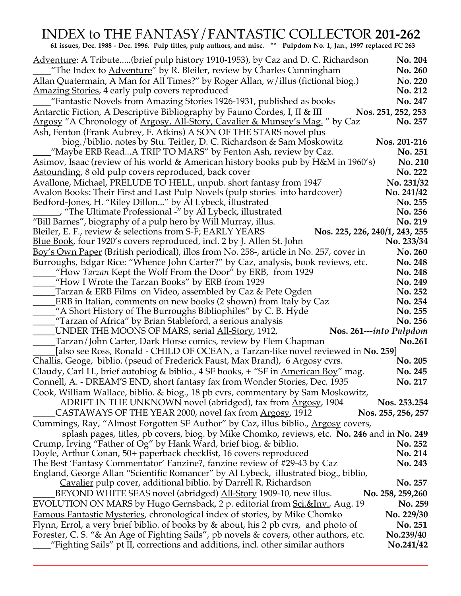## INDEX to THE FANTASY/FANTASTIC COLLECTOR **201-262**

 **61 issues, Dec. 1988 - Dec. 1996. Pulp titles, pulp authors, and misc. \*\* Pulpdom No. 1, Jan., 1997 replaced FC 263**

| Adventure: A Tribute(brief pulp history 1910-1953), by Caz and D. C. Richardson                                                                    | No. 204                           |
|----------------------------------------------------------------------------------------------------------------------------------------------------|-----------------------------------|
| "The Index to Adventure" by R. Bleiler, review by Charles Cunningham                                                                               | No. 260                           |
| Allan Quatermain, A Man for All Times?" by Roger Allan, w/illus (fictional biog.)                                                                  | No. 220                           |
| <u>Amazing Stories</u> , 4 early pulp covers reproduced                                                                                            | No. 212                           |
| "Fantastic Novels from Amazing Stories 1926-1931, published as books                                                                               | No. 247                           |
| Antarctic Fiction, A Descriptive Bibliography by Fauno Cordes, I, II & III                                                                         | Nos. 251, 252, 253                |
| <u>Argosy</u> "A Chronology of <u>Argosy, All-Story, Cavalier &amp; Munsey's Mag.</u> " by Caz                                                     | No. 257                           |
| Ash, Fenton (Frank Aubrey, F. Atkins) A SON OF THE STARS novel plus                                                                                |                                   |
| biog./biblio. notes by Stu. Teitler, D. C. Richardson & Sam Moskowitz<br>"Maybe ERB ReadA TRIP TO MARS" by Fenton Ash, review by Caz.              | Nos. 201-216<br>No. 251           |
| Asimov, Isaac (review of his world & American history books pub by H&M in 1960's)                                                                  | No. 210                           |
| <u>Astounding</u> , 8 old pulp covers reproduced, back cover                                                                                       | No. 222                           |
| Avallone, Michael, PRELUDE TO HELL, unpub. short fantasy from 1947                                                                                 | No. 231/32                        |
| Avalon Books: Their First and Last Pulp Novels (pulp stories into hardcover)                                                                       | No. 241/42                        |
| Bedford-Jones, H. "Riley Dillon" by Al Lybeck, illustrated                                                                                         | No. 255                           |
| _ "The Ultimate Professional -" by Al Lybeck, illustrated                                                                                          | No. 256                           |
| "Bill Barnes", biography of a pulp hero by Will Murray, illus.                                                                                     | No. 219                           |
| Bleiler, E. F., review & selections from S-F; EARLY YEARS<br>Nos. 225, 226, 240/1, 243, 255                                                        |                                   |
| <u>Blue Book</u> , four 1920's covers reproduced, incl. 2 by J. Allen St. John                                                                     | No. 233/34                        |
| Boy's Own Paper (British periodical), illos from No. 258-, article in No. 257, cover in                                                            | No. 260                           |
| Burroughs, Edgar Rice: "Whence John Carter?" by Caz, analysis, book reviews, etc.                                                                  | No. 248                           |
| "How Tarzan Kept the Wolf From the Door" by ERB, from 1929                                                                                         | No. 248                           |
| "How I Wrote the Tarzan Books" by ERB from 1929                                                                                                    | No. 249                           |
| Tarzan & ERB Films on Video, assembled by Caz & Pete Ogden                                                                                         | No. 252                           |
| ERB in Italian, comments on new books (2 shown) from Italy by Caz                                                                                  | No. 254                           |
| "A Short History of The Burroughs Bibliophiles" by C. B. Hyde                                                                                      | No. 255                           |
| Tarzan of Africa" by Brian Stableford, a serious analysis________________________                                                                  | No. 256                           |
| UNDER THE MOONS OF MARS, serial <u>All-Story</u> , 1912,                                                                                           | Nos. 261---into Pulpdom<br>No.261 |
| Tarzan/John Carter, Dark Horse comics, review by Flem Chapman<br>[also see Ross, Ronald - CHILD OF OCEAN, a Tarzan-like novel reviewed in No. 259] |                                   |
| Challis, Geoge, biblio. (pseud of Frederick Faust, Max Brand), 6 Argosy cvrs.                                                                      | No. 205                           |
| Claudy, Carl H., brief autobiog & biblio., 4 SF books, + "SF in American Boy" mag.                                                                 | No. 245                           |
| Connell, A. - DREAM'S END, short fantasy fax from Wonder Stories, Dec. 1935                                                                        | No. 217                           |
| Cook, William Wallace, biblio. & biog., 18 pb cvrs, commentary by Sam Moskowitz,                                                                   |                                   |
| ADRIFT IN THE UNKNOWN novel (abridged), fax from Argosy, 1904                                                                                      | Nos. 253.254                      |
| CASTAWAYS OF THE YEAR 2000, novel fax from Argosy, 1912                                                                                            | Nos. 255, 256, 257                |
| Cummings, Ray, "Almost Forgotten SF Author" by Caz, illus biblio., Argosy covers,                                                                  |                                   |
| splash pages, titles, pb covers, biog. by Mike Chomko, reviews, etc. No. 246 and in No. 249                                                        |                                   |
| Crump, Irving "Father of Og" by Hank Ward, brief biog. & biblio.                                                                                   | No. 252                           |
| Doyle, Arthur Conan, 50+ paperback checklist, 16 covers reproduced                                                                                 | No. 214                           |
| The Best 'Fantasy Commentator' Fanzine?, fanzine review of #29-43 by Caz                                                                           | No. 243                           |
| England, George Allan "Scientific Romancer" by Al Lybeck, illustrated biog., biblio,                                                               |                                   |
| Cavalier pulp cover, additional biblio. by Darrell R. Richardson                                                                                   | No. 257                           |
| BEYOND WHITE SEAS novel (abridged) All-Story 1909-10, new illus.                                                                                   | No. 258, 259, 260                 |
| EVOLUTION ON MARS by Hugo Gernsback, 2 p. editorial from <u>Sci.&amp;Inv.</u> , Aug. 19                                                            | No. 259                           |
| <u>Famous Fantastic Mysteries</u> , chronological index of stories, by Mike Chomko                                                                 | No. 229/30                        |
| Flynn, Errol, a very brief biblio. of books by & about, his 2 pb cvrs, and photo of                                                                | No. 251                           |
| Forester, C. S. "& An Age of Fighting Sails", pb novels & covers, other authors, etc.                                                              | No.239/40                         |
| "Fighting Sails" pt II, corrections and additions, incl. other similar authors                                                                     | No.241/42                         |